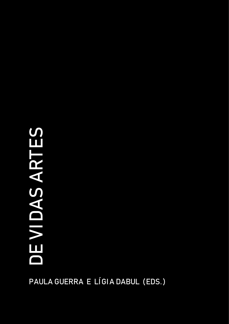# D E  $\blacktriangleright$ DA $\boldsymbol{\mathsf{C}}$ ART E $\boldsymbol{\mathsf{C}}$

PAULA GUERRA E LÍGIA DABUL (EDS.)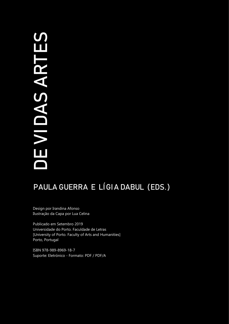# D E  $\blacktriangleright$ DA $\boldsymbol{\mathsf{C}}$ ART E $\boldsymbol{\mathsf{C}}$

# PAULA GUERRA E LÍGIA DABUL (EDS.)

Design por Irandina Afonso Ilustração da Capa por Lua Celina

Publicado em Setembro 2019 Universidade do Porto. Faculdade de Letras [University of Porto. Faculty of Arts and Humanities] Porto, Portugal

ISBN 978-989-8969-18-7 Suporte: Eletrónico - Formato: PDF / PDF/A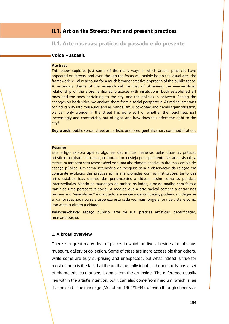# **II.1. Art on the Streets: Past and present practices**

**II.1. Arte nas ruas: práticas do passado e do presente** 

# **Voica Puscasiu**

## **Abstract**

This paper explores just some of the many ways in which artistic practices have appeared on streets, and even though the focus will mainly be on the visual arts, the framework will also account for a much broader creative approach of the public space. A secondary theme of the research will be that of observing the ever-evolving relationship of the aforementioned practices with institutions, both established art ones and the ones pertaining to the city, and the policies in between. Seeing the changes on both sides, we analyze them from a social perspective. As radical art starts to find its way into museums and as 'vandalism' is co-opted and heralds gentrification, we can only wonder if the street has gone soft or whether the roughness just increasingly and comfortably out of sight, and how does this affect the right to the city?

**Key words:** public space, street art, artistic practices, gentrification, commodification.

#### **Resumo**

Este artigo explora apenas algumas das muitas maneiras pelas quais as práticas artísticas surgiram nas ruas e, embora o foco esteja principalmente nas artes visuais, a estrutura também será responsável por uma abordagem criativa muito mais ampla do espaço público. Um tema secundário da pesquisa será a observação da relação em constante evolução das práticas acima mencionadas com as instituições, tanto das artes estabelecidas quanto das pertencentes à cidade, assim como as políticas intermediárias. Vendo as mudanças de ambos os lados, a nossa análise será feita a partir de uma perspectiva social. À medida que a arte radical começa a entrar nos museus e o "vandalismo" é cooptado e anuncia a gentrificação, podemos indagar se a rua foi suavizada ou se a aspereza está cada vez mais longe e fora de vista, e como isso afeta o direito à cidade..

**Palavras-chave:** espaço público, arte de rua, práticas artísticas, gentrificação, mercantilização.

# **1. A broad overview**

There is a great many deal of places in which art lives, besides the obvious museum, gallery or collection. Some of these are more accessible than others, while some are truly surprising and unexpected, but what indeed is true for most of them is the fact that the art that usually inhabits them usually has a set of characteristics that sets it apart from the art inside. The difference usually lies within the artist's intention, but it can also come from medium, which is, as it often said – the message (McLuhan, 1964/1994), or even through sheer size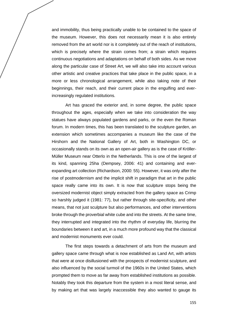and immobility, thus being practically unable to be contained to the space of the museum. However, this does not necessarily mean it is also entirely removed from the art world nor is it completely out of the reach of institutions, which is precisely where the strain comes from; a strain which requires continuous negotiations and adaptations on behalf of both sides. As we move along the particular case of Street Art, we will also take into account various other artistic and creative practices that take place in the public space, in a more or less chronological arrangement, while also taking note of their beginnings, their reach, and their current place in the engulfing and everincreasingly regulated institutions.

Art has graced the exterior and, in some degree, the public space throughout the ages, especially when we take into consideration the way statues have always populated gardens and parks, or the even the Roman forum. In modern times, this has been translated to the sculpture garden, an extension which sometimes accompanies a museum like the case of the Hirshorn and the National Gallery of Art, both in Washington DC, or occasionally stands on its own as an open-air gallery as is the case of Kröller*-*Müller Museum near Otterlo in the Netherlands. This is one of the largest of its kind, spanning 25ha (Dempsey, 2006: 41) and containing and everexpanding art collection (Richardson, 2000: 55). However, it was only after the rise of postmodernism and the implicit shift in paradigm that art in the public space really came into its own. It is now that sculpture stops being the oversized modernist object simply extracted from the gallery space as Crimp so harshly judged it (1981: 77), but rather through site-specificity, and other means, that not just sculpture but also performances, and other interventions broke through the proverbial white cube and into the streets. At the same time, they interrupted and integrated into the rhythm of everyday life, blurring the boundaries between it and art, in a much more profound way that the classical and modernist monuments ever could.

The first steps towards a detachment of arts from the museum and gallery space came through what is now established as Land Art, with artists that were at once disillusioned with the prospects of modernist sculpture, and also influenced by the social turmoil of the 1960s in the United States, which prompted them to move as far away from established institutions as possible. Notably they took this departure from the system in a most literal sense, and by making art that was largely inaccessible they also wanted to gauge its

155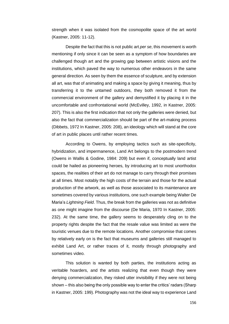strength when it was isolated from the cosmopolite space of the art world (Kastner, 2005: 11-12).

Despite the fact that this is not public art *per se*, this movement is worth mentioning if only since it can be seen as a symptom of how boundaries are challenged though art and the growing gap between artistic visions and the institutions, which paved the way to numerous other endeavors in the same general direction. As seen by them the essence of sculpture, and by extension all art, was that of animating and making a space by giving it meaning, thus by transferring it to the untamed outdoors, they both removed it from the commercial environment of the gallery and demystified it by placing it in the uncomfortable and confrontational world (McEvilley, 1992, in Kastner, 2005: 207). This is also the first indication that not only the galleries were denied, but also the fact that commercialization should be part of the art-making process (Dibbets, 1972 In Kastner, 2005: 208), an ideology which will stand at the core of art in public places until rather recent times.

According to Owens, by employing tactics such as site-specificity, hybridization, and impermanence, Land Art belongs to the postmodern trend (Owens in Wallis & Godine, 1984: 209) but even if, conceptually land artist could be hailed as pioneering heroes, by introducing art to most unorthodox spaces, the realities of their art do not manage to carry through their promises at all times. Most notably the high costs of the terrain and those for the actual production of the artwork, as well as those associated to its maintenance are sometimes covered by various institutions, one such example being Walter De Maria's *Lightning Field*. Thus, the break from the galleries was not as definitive as one might imagine from the discourse (De Maria, 1970 In Kastner, 2005: 232). At the same time, the gallery seems to desperately cling on to the property rights despite the fact that the resale value was limited as were the touristic venues due to the remote locations. Another compromise that comes by relatively early on is the fact that museums and galleries still managed to exhibit Land Art, or rather traces of it, mostly through photography and sometimes video.

This solution is wanted by both parties, the institutions acting as veritable hoarders, and the artists realizing that even though they were denying commercialization, they risked utter invisibility if they were not being shown – this also being the only possible way to enter the critics' radars (Sharp in Kastner, 2005: 199). Photography was not the ideal way to experience Land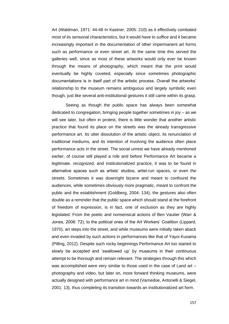Art (Waldman, 1971: 44-48 In Kastner, 2005: 210) as it effectively combated most of its sensorial characteristics, but it would have to suffice and it became increasingly important in the documentation of other impermanent art forms such as performance or even street art. At the same time this served the galleries well, since as most of these artworks would only ever be known through the means of photography, which meant that the print would eventually be highly coveted, especially since sometimes photographic documentations is in itself part of the artistic process. Overall the artworks' relationship to the museum remains ambiguous and largely symbolic even though, just like several anti-institutional gestures it still came within its grasp.

Seeing as though the public space has always been somewhat dedicated to congregation, bringing people together sometimes in joy – as we will see later, but often in protest, there is little wonder that another artistic practice that found its place on the streets was the already transgressive performance art. Its utter dissolution of the artistic object, its renunciation of traditional mediums, and its intention of involving the audience often place performance acts in the street. The social unrest we have already mentioned earlier, of course still played a role and before Performance Art became a legitimate, recognized, and institutionalized practice, it was to be found in alternative spaces such as artists' studios, artist-run spaces, or even the streets. Sometimes it was downright bizarre and meant to confound the audiences, while sometimes obviously more pragmatic, meant to confront the public and the establishment (Goldberg, 2004: 134), the gestures also often double as a reminder that the public space which should stand at the forefront of freedom of expression, is in fact, one of exclusion as they are highly legislated. From the poetic and nonsensical actions of Ben Vautier (Warr & Jones, 2006: 72), to the political ones of the Art Workers' Coalition (Lippard, 1970), art steps into the street, and while museums were initially taken aback and even invaded by such actions in performances like that of Yayoi Kusama (Pilling, 2012). Despite such rocky beginnings Performance Art too started to slowly be accepted and 'swallowed up' by museums in their continuous attempt to be thorough and remain relevant. The strategies through this which was accomplished were very similar to those used in the case of Land art – photography and video, but later on, more forward thinking museums, were actually designed with performance art in mind (Varnedoe, Antonelli & Siegel, 2001: 13), thus completing its transition towards an institutionalized art form.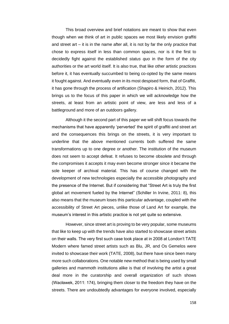This broad overview and brief notations are meant to show that even though when we think of art in public spaces we most likely envision graffiti and street art – it is in the name after all, it is not by far the only practice that chose to express itself in less than common spaces, nor is it the first to decidedly fight against the established *status quo* in the form of the city authorities or the art world itself. It is also true, that like other artistic practices before it, it has eventually succumbed to being co-opted by the same means it fought against. And eventually even in its most despised form, that of Graffiti, it has gone through the process of artification (Shapiro & Heinich, 2012). This brings us to the focus of this paper in which we will acknowledge how the streets, at least from an artistic point of view, are less and less of a battleground and more of an outdoors gallery.

Although it the second part of this paper we will shift focus towards the mechanisms that have apparently 'perverted' the spirit of graffiti and street art and the consequences this brings on the streets, it is very important to underline that the above mentioned currents both suffered the same transformations up to one degree or another. The institution of the museum does not seem to accept defeat. It refuses to become obsolete and through the compromises it accepts it may even become stronger since it became the sole keeper of archival material. This has of course changed with the development of new technologies especially the accessible photography and the presence of the Internet. But if considering that "Street Art is truly the first global art movement fueled by the Internet" (Schiller In Irvine, 2011: 8), this also means that the museum loses this particular advantage, coupled with the accessibility of Street Art pieces, unlike those of Land Art for example, the museum's interest in this artistic practice is not yet quite so extensive.

However, since street art is proving to be very popular, some museums that like to keep up with the trends have also started to showcase street artists on their walls. The very first such case took place at in 2008 at London't TATE Modern where famed street artists such as Blu, JR, and Os Gemelos were invited to showcase their work (TATE, 2008), but there have since been many more such collaborations. One notable new method that is being used by small galleries and mammoth institutions alike is that of involving the artist a great deal more in the curatorship and overall organization of such shows (Wacławek, 2011: 174), bringing them closer to the freedom they have on the streets. There are undoubtedly advantages for everyone involved, especially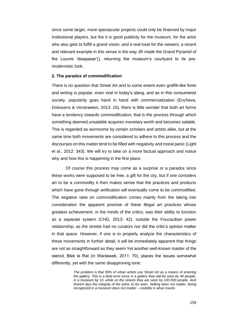since some larger, more spectacular projects could only be financed by major institutional players, but the it is good publicity for the museum, for the artist who also gets to fulfill a grand vision, and a real treat for the viewers; a recent and relevant example in this sense is the way JR made the Grand Pyramid of the Louvre 'disappear'(), returning the museum's courtyard to its premodernistic look.

## **2. The paradox of commodification**

There is no question that Street Art and to some extent even graffiti-like fonts and writing is popular, even viral in today's slang, and as in this consumerist society, popularity goes hand in hand with commercialization (Encheva, Driessens & Verstraeten, 2013: 10), there is little wonder that both art forms have a tendency towards commodification; that is the process through which something deemed unsalable acquires monetary worth and becomes salable. This is regarded as worrisome by certain scholars and artists alike, but at the same time both movements are considered to adhere to this process and the discourses on this matter tend to be filled with negativity and moral panic (Light et al., 2012: 343). We will try to take on a more factual approach and notice why and how this is happening in the first place.

Of course this process may come as a surprise or a paradox since these works were supposed to be free, a gift for the city, but if one considers art to be a commodity it then makes sense that the practices and products which have gone through artification will eventually come to be commodified. The negative view on commodification comes mainly from the taking into consideration the apparent promise of these illegal art practices whose greatest achievement, in the minds of the critics, was their ability to function as a separate system (CHD, 2013: 42), outside the Foucaultian power relationship, as the streets had no curators nor did the critic's opinion matter in that space. However, if one is to properly analyze the characteristics of these movements in further detail, it will be immediately apparent that things are not as straightforward as they seem.Yet another well-known master of the stencil, Blek le Rat (in Wacławek, 2011: 70), places the issues somewhat differently, yet with the same disapproving tone:

> *The problem is that 99% of urban artists use Street Art as a means of entering the gallery. This is a fatal error since in a gallery they will be seen by 40 people, in a museum by 10, while on the streets they are seen by 100.000 people. And therein lays the integrity of the artist, to be seen. Selling does not matter, being recognized in a museum does not matter – visibility is what counts.*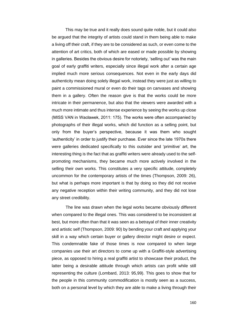This may be true and it really does sound quite noble, but it could also be argued that the integrity of artists could stand in them being able to make a living off their craft, if they are to be considered as such, or even come to the attention of art critics, both of which are eased or made possible by showing in galleries. Besides the obvious desire for notoriety, 'selling out' was the main goal of early graffiti writers, especially since illegal work after a certain age implied much more serious consequences. Not even in the early days did authenticity mean doing solely illegal work, instead they were just as willing to paint a commissioned mural or even do their tags on canvases and showing them in a gallery. Often the reason give is that the works could be more intricate in their permanence, but also that the viewers were awarded with a much more intimate and thus intense experience by seeing the works up close (MISS VAN in Wacławek, 2011: 175). The works were often accompanied by photographs of their illegal works, which did function as a selling point, but only from the buyer's perspective, because it was them who sought 'authenticity' in order to justify their purchase. Ever since the late 1970s there were galleries dedicated specifically to this outsider and 'primitive' art, the interesting thing is the fact that as graffiti writers were already used to the selfpromoting mechanisms, they became much more actively involved in the selling their own works. This constitutes a very specific attitude, completely uncommon for the contemporary artists of the times (Thompson, 2009: 26), but what is perhaps more important is that by doing so they did not receive any negative reception within their writing community, and they did not lose any street credibility.

The line was drawn when the legal works became obviously different when compared to the illegal ones. This was considered to be inconsistent at best, but more often than that it was seen as a betrayal of their inner creativity and artistic self (Thompson, 2009: 90) by bending your craft and applying your skill in a way which certain buyer or gallery director might desire or expect. This condemnable fake of those times is now compared to when large companies use their art directors to come up with a Graffiti-style advertising piece, as opposed to hiring a real graffiti artist to showcase their product, the latter being a desirable attitude through which artists can profit while still representing the culture (Lombard, 2013: 95,99). This goes to show that for the people in this community commodification is mostly seen as a success, both on a personal level by which they are able to make a living through their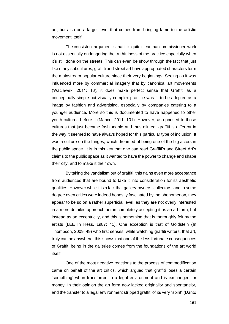art, but also on a larger level that comes from bringing fame to the artistic movement itself.

The consistent argument is that it is quite clear that commissioned work is not essentially endangering the truthfulness of the practice especially when it's still done on the streets. This can even be show through the fact that just like many subcultures, graffiti and street art have appropriated characters form the mainstream popular culture since their very beginnings. Seeing as it was influenced more by commercial imagery that by canonical art movements (Wacławek, 2011: 13), it does make perfect sense that Graffiti as a conceptually simple but visually complex practice was fit to be adopted as a image by fashion and advertising, especially by companies catering to a younger audience. More so this is documented to have happened to other youth cultures before it (Manco, 2011: 101). However, as opposed to those cultures that just became fashionable and thus diluted, graffiti is different in the way it seemed to have always hoped for this particular type of inclusion. It was a culture on the fringes, which dreamed of being one of the big actors in the public space. It is in this key that one can read Graffiti's and Street Art's claims to the public space as it wanted to have the power to change and shape their city, and to make it their own.

By taking the vandalism out of graffiti, this gains even more acceptance from audiences that are bound to take it into consideration for its aesthetic qualities. However while it is a fact that gallery-owners, collectors, and to some degree even critics were indeed honestly fascinated by the phenomenon, they appear to be so on a rather superficial level, as they are not overly interested in a more detailed approach nor in completely accepting it as an art form, but instead as an eccentricity, and this is something that is thoroughly felt by the artists (LEE In Hess, 1987: 41). One exception is that of Goldstein (In Thompson, 2009: 49) who first senses, while watching graffiti writers, that art, truly can be anywhere. this shows that one of the less fortunate consequences of Graffiti being in the galleries comes from the foundations of the art world itself.

One of the most negative reactions to the process of commodification came on behalf of the art critics, which argued that graffiti loses a certain 'something' when transferred to a legal environment and is exchanged for money. In their opinion the art form now lacked originality and spontaneity, and the transfer to a legal environment stripped graffiti of its very "spirit" (Danto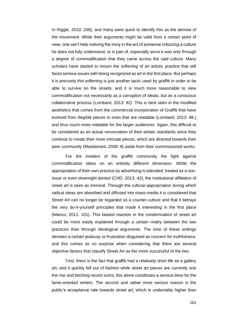In Riggle, 2010: 248), and many were quick to identify this as the demise of the movement. While their arguments might be valid from a certain point of view, one can't help noticing the irony in the act of someone criticizing a culture he does not fully understand, or is part of, especially since it was only through a degree of commodification that they came across the said culture. Many scholars have started to mourn the softening of an artistic practice that still faces serious issues with being recognized as art in the first place. But perhaps it is precisely this softening is just another tactic used by graffiti in order to be able to survive on the streets, and it is much more reasonable to view commodification not necessarily as a corruption of ideals, but as a conscious collaborative process (Lombard, 2013: 92). This is best seen in the modified aesthetics that comes from the commercial incorporation of Graffiti that have evolved from illegible pieces to ones that are readable (Lombard, 2013: 98.) and thus much more relatable for the larger audiences. Again, this difficult to be considered as an actual renunciation of their artistic standards since they continue to create their more intricate pieces, which are directed towards their peer community (Masilamani, 2008: 8) aside from their commissioned works.

For the insiders of the graffiti community the fight against commodification takes on an entirely different dimension. While the appropriation of their own practice by advertising is tolerated, treated as a nonissue or even downright denied (CHD, 2013: 42), the institutional affiliation of street art is seen as immoral. Through the cultural appropriation during which radical ideas are absorbed and diffused into mass-media it is considered that Street Art can no longer be regarded as a counter-culture and that it betrays the very do-it-yourself principles that made it interesting in the first place (Manco, 2011: 101). This biased reaction in the condemnation of street art could be more easily explained through a certain rivalry between the two practices than through ideological arguments. The tone of these writings denotes a certain jealousy or frustration disguised as concern for truthfulness, and this comes as no surprise when considering that there are several objective factors that classify Street Art as the more successful of the two.

First, there is the fact that graffiti had a relatively short life as a gallery art, and it quickly fell out of fashion while street art pieces are currently one the rise and fetching record sums, this alone constitutes a serious blow for the fame-oriented writers. The second and rather more serious reason is the public's acceptance rate towards street art, which is undeniably higher than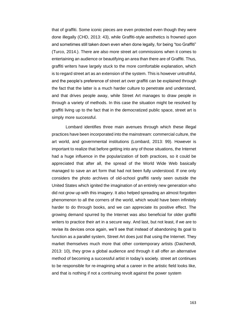that of graffiti. Some iconic pieces are even protected even though they were done illegally (CHD, 2013: 43), while Graffiti-style aesthetics is frowned upon and sometimes still taken down even when done legally, for being "too Graffiti" (Turco, 2014.). There are also more street art commissions when it comes to entertaining an audience or beautifying an area than there are of Graffiti. Thus, graffiti writers have largely stuck to the more comfortable explanation, which is to regard street art as an extension of the system. This is however untruthful, and the people's preference of street art over graffiti can be explained through the fact that the latter is a much harder culture to penetrate and understand, and that drives people away, while Street Art manages to draw people in through a variety of methods. In this case the situation might be resolved by graffiti living up to the fact that in the democratized public space, street art is simply more successful.

Lombard identifies three main avenues through which these illegal practices have been incorporated into the mainstream: commercial culture, the art world, and governmental institutions (Lombard, 2013: 99). However is important to realize that before getting into any of those situations, the Internet had a huge influence in the popularization of both practices, so it could be appreciated that after all, the spread of the World Wide Web basically managed to save an art form that had not been fully understood. If one only considers the photo archives of old-school graffiti rarely seen outside the United States which ignited the imagination of an entirely new generation who did not grow up with this imagery. It also helped spreading an almost forgotten phenomenon to all the corners of the world, which would have been infinitely harder to do through books, and we can appreciate its positive effect. The growing demand spurred by the Internet was also beneficial for older graffiti writers to practice their art in a secure way. And last, but not least, if we are to revise its devices once again, we'll see that instead of abandoning its goal to function as a parallel system, Street Art does just that using the Internet. They market themselves much more that other contemporary artists (Daichendt, 2013: 10), they grow a global audience and through it all offer an alternative method of becoming a successful artist in today's society. street art continues to be responsible for re-imagining what a career in the artistic field looks like, and that is nothing if not a continuing revolt against the power system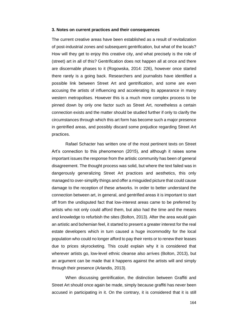## **3. Notes on current practices and their consequences**

The current creative areas have been established as a result of revitalization of post-industrial zones and subsequent gentrification, but what of the locals? How will they get to enjoy this creative city, and what precisely is the role of (street) art in all of this? Gentrification does not happen all at once and there are discernable phases to it (Rogowska, 2014: 226), however once started there rarely is a going back. Researchers and journalists have identified a possible link between Street Art and gentrification, and some are even accusing the artists of influencing and accelerating its appearance in many western metropolises. However this is a much more complex process to be pinned down by only one factor such as Street Art, nonetheless a certain connection exists and the matter should be studied further if only to clarify the circumstances through which this art form has become such a major presence in gentrified areas, and possibly discard some prejudice regarding Street Art practices.

Rafael Schacter has written one of the most pertinent texts on Street Art's connection to this phenomenon (2015), and although it raises some important issues the response from the artistic community has been of general disagreement. The thought process was solid, but where the text failed was in dangerously generalizing Street Art practices and aesthetics, this only managed to over-simplify things and offer a misguided picture that could cause damage to the reception of these artworks. In order to better understand the connection between art, in general, and gentrified areas it is important to start off from the undisputed fact that low-interest areas came to be preferred by artists who not only could afford them, but also had the time and the means and knowledge to refurbish the sites (Bolton, 2013). After the area would gain an artistic and bohemian feel, it started to present a greater interest for the real estate developers which in turn caused a huge incommodity for the local population who could no longer afford to pay their rents or to renew their leases due to prices skyrocketing. This could explain why it is considered that wherever artists go, low-level ethnic cleanse also arrives (Bolton, 2013), but an argument can be made that it happens against the artists will and simply through their presence (Arlandis, 2013).

When discussing gentrification, the distinction between Graffiti and Street Art should once again be made, simply because graffiti has never been accused in participating in it. On the contrary, it is considered that it is still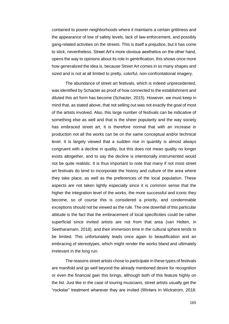contained to poorer neighborhoods where it maintains a certain grittiness and the appearance of low of safety levels, lack of law-enforcement, and possibly gang-related activities on the streets. This is itself a prejudice, but it has come to stick, nevertheless. Street Art's more obvious aesthetics on the other hand, opens the way to opinions about its role in gentrification, this shows once more how generalized the idea is, because Street Art comes in so many shapes and sized and is not at all limited to pretty, colorful, non-confrontational imagery.

The abundance of street art festivals, which is indeed unprecedented, was identified by Schacter as proof of how connected to the establishment and diluted this art form has become (Schacter, 2015). However, we must keep in mind that, as stated above, that not selling out was not exactly the goal of most of the artists involved. Also, this large number of festivals can be indicative of something else as well and that is the sheer popularity and the way society has embraced street art, it is therefore normal that with an increase in production not all the works can be on the same conceptual and/or technical level. It is largely viewed that a sudden rise in quantity is almost always congruent with a decline in quality, but this does not mean quality no longer exists altogether, and to say the decline is intentionally instrumented would not be quite realistic. It is thus important to note that many if not most street art festivals do tend to incorporate the history and culture of the area where they take place, as well as the preferences of the local population. These aspects are not taken lightly especially since it is common sense that the higher the integration level of the works, the more successful and iconic they become, so of course this is considered a priority, and condemnable exceptions should not be viewed as the rule. The one downfall of this particular attitude is the fact that the embracement of local specificities could be rather superficial since invited artists are not from that area (van Helten, in Seetharamam, 2018), and their immersion time in the cultural sphere tends to be limited. This unfortunately leads once again to beautification and an embracing of stereotypes, which might render the works bland and ultimately irrelevant in the long run.

The reasons street artists chose to participate in these types of festivals are manifold and go well beyond the already mentioned desire for recognition or even the financial gain this brings, although both of this feature highly on the list. Just like in the case of touring musicians, street artists usually get the "rockstar" treatment wherever they are invited (Winters In Wickstrom, 2018: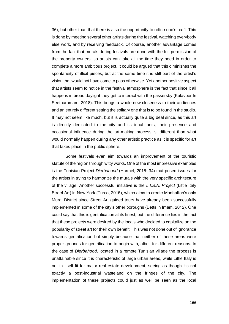36), but other than that there is also the opportunity to refine one's craft. This is done by meeting several other artists during the festival, watching everybody else work, and by receiving feedback. Of course, another advantage comes from the fact that murals during festivals are done with the full permission of the property owners, so artists can take all the time they need in order to complete a more ambitious project. It could be argued that this diminishes the spontaneity of illicit pieces, but at the same time it is still part of the artist's vision that would not have come to pass otherwise. Yet another positive aspect that artists seem to notice in the festival atmosphere is the fact that since it all happens in broad daylight they get to interact with the passersby (Kulavoor In Seetharamam, 2018). This brings a whole new closeness to their audiences and an entirely different setting the solitary one that is to be found in the studio. It may not seem like much, but it is actually quite a big deal since, as this art is directly dedicated to the city and its inhabitants, their presence and occasional influence during the art-making process is, different than what would normally happen during any other artistic practice as it is specific for art that takes place in the public sphere.

Some festivals even aim towards an improvement of the touristic statute of the region through witty works. One of the most impressive examples is the Tunisian Project *Djerbahood* (Harmel, 2015: 34) that posed issues for the artists in trying to harmonize the murals with the very specific architecture of the village. Another successful initiative is the *L.I.S.A. Project* (Little Italy Street Art) in New York (Turco, 2015), which aims to create Manhattan's only Mural District since Street Art guided tours have already been successfully implemented in some of the city's other boroughs (Betts in Imam, 2012). One could say that this is gentrification at its finest, but the difference lies in the fact that these projects were desired by the locals who decided to capitalize on the popularity of street art for their own benefit. This was not done out of ignorance towards gentrification but simply because that neither of these areas were proper grounds for gentrification to begin with, albeit for different reasons. In the case of *Djerbahood*, located in a remote Tunisian village the process is unattainable since it is characteristic of large urban areas, while Little Italy is not in itself fit for major real estate development, seeing as though it's not exactly a post-industrial wasteland on the fringes of the city. The implementation of these projects could just as well be seen as the local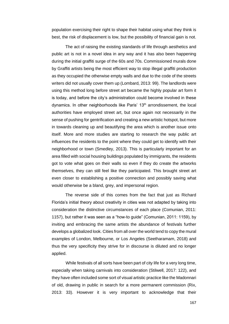population exercising their right to shape their habitat using what they think is best, the risk of displacement is low, but the possibility of financial gain is not.

The act of raising the existing standards of life through aesthetics and public art is not in a novel idea in any way and it has also been happening during the initial graffiti surge of the 60s and 70s. Commissioned murals done by Graffiti artists being the most efficient way to stop illegal graffiti production as they occupied the otherwise empty walls and due to the code of the streets writers did not usually cover them up (Lombard, 2013: 99). The landlords were using this method long before street art became the highly popular art form it is today, and before the city's administration could become involved in these dynamics. In other neighborhoods like Paris' 13<sup>th</sup> arrondissement, the local authorities have employed street art, but once again not necessarily in the sense of pushing for gentrification and creating a new artistic hotspot, but more in towards cleaning up and beautifying the area which is another issue onto itself. More and more studies are starting to research the way public art influences the residents to the point where they could get to identify with their neighborhood or town (Smedley, 2013). This is particularly important for an area filled with social housing buildings populated by immigrants, the residents got to vote what goes on their walls so even if they do create the artworks themselves, they can still feel like they participated. This brought street art even closer to establishing a positive connection and possibly saving what would otherwise be a bland, grey, and impersonal region.

The reverse side of this comes from the fact that just as Richard Florida's initial theory about creativity in cities was not adapted by taking into consideration the distinctive circumstances of each place (Comunian, 2011: 1157), but rather it was seen as a "how-to guide" (Comunian, 2011: 1159), by inviting and embracing the same artists the abundance of festivals further develops a globalized look. Cities from all over the world tend to copy the mural examples of London, Melbourne, or Los Angeles (Seetharamam, 2018) and thus the very specificity they strive for in discourse is diluted and no longer applied.

While festivals of all sorts have been part of city life for a very long time, especially when taking carnivals into consideration (Stilwell, 2017: 122), and they have often included some sort of visual artistic practice like the Madonnari of old, drawing in public in search for a more permanent commission (Rix, 2013: 33). However it is very important to acknowledge that their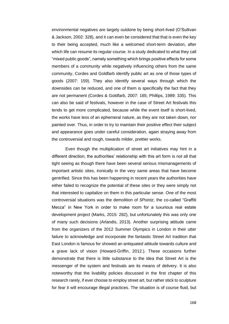environmental negatives are largely outdone by being short-lived (O'Sullivan & Jackson, 2002: 328), and it can even be considered that that is even the key to their being accepted, much like a welcomed short-term deviation, after which life can resume its regular course. In a study dedicated to what they call "mixed public goods", namely something which brings positive effects for some members of a community while negatively influencing others from the same community, Cordes and Goldfarb identify public art as one of those types of goods (2007: 159). They also identify several ways through which the downsides can be reduced, and one of them is specifically the fact that they are not permanent (Cordes & Goldfarb, 2007: 165; Phillips, 1989: 335). This can also be said of festivals, however in the case of Street Art festivals this tends to get more complicated, because while the event itself is short-lived, the works have less of an ephemeral nature, as they are not taken down, nor painted over. Thus, in order to try to maintain their positive effect their subject and appearance goes under careful consideration, again straying away from the controversial and rough, towards milder, prettier works.

Even though the multiplication of street art initiatives may hint in a different direction, the authorities' relationship with this art form is not all that tight seeing as though there have been several serious mismanagements of important artistic sites, ironically in the very same areas that have become gentrified. Since this has been happening in recent years the authorities have either failed to recognize the potential of these sites or they were simply not that interested to capitalize on them in this particular sense. One of the most controversial situations was the demolition of *5Pointz*, the co-called "Graffiti Mecca" in New York in order to make room for a luxurious real estate development project (Marks, 2015: 282), but unfortunately this was only one of many such decisions (Arlandis, 2013). Another surprising attitude came from the organizers of the 2012 Summer Olympics in London in their utter failure to acknowledge and incorporate the fantastic Street Art tradition that East London is famous for showed an antiquated attitude towards culture and a grave lack of vision (Howard-Griffin, 2012.). These occasions further demonstrate that there is little substance to the idea that Street Art is the messenger of the system and festivals are its means of delivery. It is also noteworthy that the livability policies discussed in the first chapter of this research rarely, if ever choose to employ street art, but rather stick to sculpture for fear it will encourage illegal practices. The situation is of course fluid, but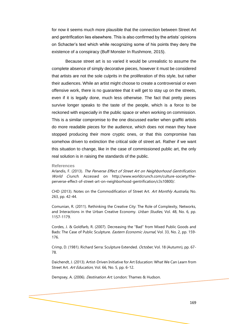for now it seems much more plausible that the connection between Street Art and gentrification lies elsewhere. This is also confirmed by the artists' opinions on Schacter's text which while recognizing some of his points they deny the existence of a conspiracy (Buff Monster In Rushmore, 2015).

Because street art is so varied it would be unrealistic to assume the complete absence of simply decorative pieces, however it must be considered that artists are not the sole culprits in the proliferation of this style, but rather their audiences. While an artist might choose to create a controversial or even offensive work, there is no guarantee that it will get to stay up on the streets, even if it is legally done, much less otherwise. The fact that pretty pieces survive longer speaks to the taste of the people, which is a force to be reckoned with especially in the public space or when working on commission. This is a similar compromise to the one discussed earlier when graffiti artists do more readable pieces for the audience, which does not mean they have stopped producing their more cryptic ones, or that this compromise has somehow driven to extinction the critical side of street art. Rather if we want this situation to change, like in the case of commissioned public art, the only real solution is in raising the standards of the public.

#### **References**

Arlandis, F. (2013). The Perverse Effect of Street Art on Neighborhood Gentrification. World Crunch. Accessed on [http://www.worldcrunch.com/culture-society/the](http://www.worldcrunch.com/culture-society/the-perverse-effect-of-street-art-on-neighborhood-gentrification/c3s10800/)[perverse-effect-of-street-art-on-neighborhood-gentrification/c3s10800/.](http://www.worldcrunch.com/culture-society/the-perverse-effect-of-street-art-on-neighborhood-gentrification/c3s10800/)

CHD (2013). Notes on the Commodification of Street Art. Art Monthly Australia, No. 263, pp. 42-44.

Comunian, R. (2011). Rethinking the Creative City: The Role of Complexity, Networks, and Interactions in the Urban Creative Economy. Urban Studies, Vol. 48, No. 6, pp. 1157-1179.

Cordes, J. & Goldfarb, R. (2007). Decreasing the "Bad" from Mixed Public Goods and Bads: The Case of Public Sculpture. *Eastern Economic Journal*, Vol. 33, No. 2, pp. 159-176.

Crimp, D. (1981). Richard Serra: Sculpture Extended. October, Vol. 18 (Autumn), pp. 67-78.

Daichendt, J. (2013). Artist-Driven Initiative for Art Education: What We Can Learn from Street Art. Art Education, Vol. 66, No. 5, pp. 6-12.

Dempsey, A. (2006). Destination Art. London: Thames & Hudson.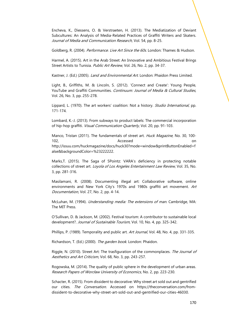Encheva, K., Diessens, O. & Verstraeten, H. (2013). The Mediatization of Deviant Subcultures: An Analysis of Media-Related Practices of Graffiti Writers and Skaters. Journal of Media and Communication Research, Vol. 54, pp. 8-25.

Goldberg, R. (2004). *Performance. Live Art Since the 60s*. London: Thames & Hudson.

Harmel, A. (2015). Art in the Arab Street: An Innovative and Ambitious Festival Brings Street Artists to Tunisia. Public Art Review, Vol. 26, No. 2, pp. 34-37.

Kastner, J. (Ed.) (2005). *Land and Environmental Art*. London: Phaidon Press Limited.

Light, B., Griffiths, M. & Lincoln, S. (2012). 'Connect and Create': Young People, YouTube and Graffiti Communities. Continuum: Journal of Media & Cultural Studies, Vol. 26, No. 3, pp. 255-278.

Lippard, L. (1970). The art workers' coalition: Not a history. *Studio International*, pp. 171-174.

Lombard, K.-J. (2013). From subways to product labels: The commercial incorporation of hip-hop graffiti. Visual Communication Quarterly, Vol. 20, pp. 91-103.

Manco, Tristan (2011). The fundamentals of street art. Huck Magazine, No. 30, 100-102, Accessed on [http://issuu.com/huckmagazine/docs/huck30?mode=window&printButtonEnabled=f](http://issuu.com/huckmagazine/docs/huck30?mode=window&printButtonEnabled=false&backgroundColor=%23222222) [alse&backgroundColor=%23222222.](http://issuu.com/huckmagazine/docs/huck30?mode=window&printButtonEnabled=false&backgroundColor=%23222222) 

Marks,T. (2015). The Saga of 5Pointz: VARA's deficiency in protecting notable collections of street art. *Loyola of Los Angeles Entertainment Law Review*, Vol. 35, No. 3, pp. 281-316.

Masilamani, R. (2008). Documenting illegal art: Collaborative software, online environments and New York City's 1970s and 1980s graffiti art movement. Art Documentation, Vol. 27, No. 2, pp. 4-14.

McLuhan, M. (1994). Understanding media: The extensions of man. Cambridge, MA: The MIT Press.

O'Sullivan, D. & Jackson, M. (2002). Festival tourism: A contributor to sustainable local development?. Journal of Sustainable Tourism, Vol. 10, No. 4, pp. 325-342.

Phillips, P. (1989). Temporality and public art. Art Journal, Vol. 48, No. 4, pp. 331-335.

Richardson, T. (Ed.) (2000). The garden book. London: Phaidon.

Riggle, N. (2010). Street Art: The trasfiguration of the commonplaces. The Journal of Aesthetics and Art Criticism, Vol. 68, No. 3, pp. 243-257.

Rogowska, M. (2014). The quality of public sphere in the development of urban areas. Research Papers of Worcław University of Economics, No. 2, pp. 223-230.

Schacter, R. (2015). From dissident to decorative: Why street art sold out and gentrified our cities. The Conversation. Accessed on [https://theconversation.com/from](https://theconversation.com/from-dissident-to-decorative-why-street-art-sold-out-and-gentrified-our-cities-46030)[dissident-to-decorative-why-street-art-sold-out-and-gentrified-our-cities-46030.](https://theconversation.com/from-dissident-to-decorative-why-street-art-sold-out-and-gentrified-our-cities-46030)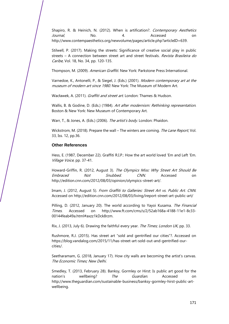Shapiro, R. & Heinich, N. (2012). When is artification?. Contemporary Aesthetics Journal, No. 4. Accessed on [http://www.contempaesthetics.org/newvolume/pages/article.php?articleID=639.](http://www.contempaesthetics.org/newvolume/pages/article.php?articleID=639)

Stilwell, P. (2017). Making the streets: Significance of creative social play in public streets - A connection between street art and street festivals. Revista Brasileira do Caribe, Vol. 18, No. 34, pp. 120-135.

Thompson, M. (2009). American Graffiti. New York: Parkstone Press International.

Varnedoe, K., Antonelli, P., & Siegel, J. (Eds.) (2001). Modern contemporary art at the museum of modern art since 1980. New York: The Museum of Modern Art.

Wacławek, A. (2011). *Graffiti and street art*. London: Thames & Hudson.

Wallis, B. & Godine, D. (Eds.) (1984). Art after modernism: Rethinking representation. Boston & New York: New Museum of Contemporary Art.

Warr, T., & Jones, A. (Eds.) (2006). The artist's body. London: Phaidon.

Wickstrom, M. (2018). Prepare the wall – The winters are coming. The Lane Report, Vol. 33, Iss. 12, pp.36.

# **Other References**

Hess, E. (1987, December 22). Graffiti R.I.P.: How the art world loved 'Em and Left 'Em. Village Voice, pp. 37-41.

Howard-Griffin, R. (2012, August 3). The Olympics Miss: Why Street Art Should Be Embraced Not Snubbed. CNN. Accessed on [http://edition.cnn.com/2012/08/03/opinion/olympics-street-art/.](http://edition.cnn.com/2012/08/03/opinion/olympics-street-art/)

Imam, J. (2012, August 5). From Graffiti to Galleries: Street Art vs. Public Art. CNN. Accessed on<http://edition.cnn.com/2012/08/03/living/ireport-street-art-public-art/>

Pilling, D. (2012, January 20). The world according to Yayoi Kusama. The Financial Times. Accessed on [http://www.ft.com/cms/s/2/52ab168a-4188-11e1-8c33-](http://www.ft.com/cms/s/2/52ab168a-4188-11e1-8c33-00144feab49a.html#axzz1kDck8rzm) [00144feab49a.html#axzz1kDck8rzm.](http://www.ft.com/cms/s/2/52ab168a-4188-11e1-8c33-00144feab49a.html#axzz1kDck8rzm) 

Rix, J. (2013, July 6). Drawing the faithful every year. The Times; London UK, pp. 33.

Rushmore, R.J. (2015). Has street art "sold and gentrified our cities"?. Accessed on [https://blog.vandalog.com/2015/11/has-street-art-sold-out-and-gentrified-our](https://blog.vandalog.com/2015/11/has-street-art-sold-out-and-gentrified-our-cities/)[cities/.](https://blog.vandalog.com/2015/11/has-street-art-sold-out-and-gentrified-our-cities/)

Seetharamam, G. (2018, January 17). How city walls are becoming the artist's canvas. The Economic Times; New Delhi.

Smedley, T. (2013, February 28). Banksy, Gormley or Hirst: Is public art good for the nation's wellbeing? The Guardian Accessed on [http://www.theguardian.com/sustainable-business/banksy-gormley-hirst-public-art](http://www.theguardian.com/sustainable-business/banksy-gormley-hirst-public-art-wellbeing)[wellbeing.](http://www.theguardian.com/sustainable-business/banksy-gormley-hirst-public-art-wellbeing)